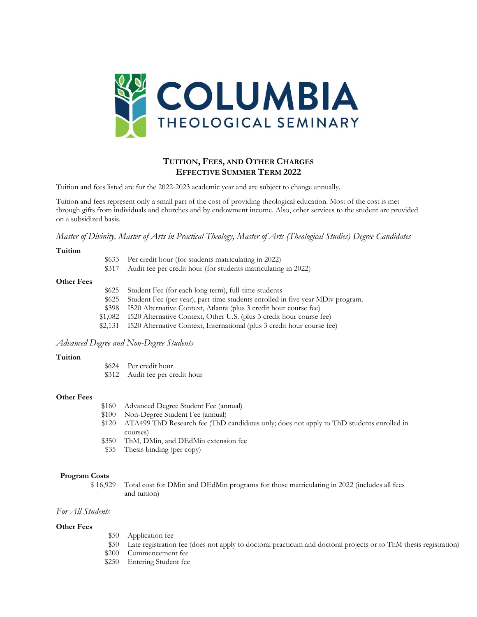

# **TUITION, FEES, AND OTHER CHARGES EFFECTIVE SUMMER TERM 2022**

Tuition and fees listed are for the 2022-2023 academic year and are subject to change annually.

Tuition and fees represent only a small part of the cost of providing theological education. Most of the cost is met through gifts from individuals and churches and by endowment income. Also, other services to the student are provided on a subsidized basis.

*Master of Divinity, Master of Arts in Practical Theology, Master of Arts (Theological Studies) Degree Candidates*

### **Tuition**

| \$317 | \$633 Per credit hour (for students matriculating in 2022)<br>Audit fee per credit hour (for students matriculating in 2022)     |
|-------|----------------------------------------------------------------------------------------------------------------------------------|
| \$625 | Student Fee (for each long term), full-time students<br>$$625$ Student Fee (per year), part-time students enrolled in five year) |

## **Other Fees**

| \$625 | Student Fee (for each long term), full-time students                            |
|-------|---------------------------------------------------------------------------------|
|       |                                                                                 |
| \$625 | Student Fee (per year), part-time students enrolled in five year MDiv program.  |
| \$398 | I520 Alternative Context, Atlanta (plus 3 credit hour course fee)               |
|       | \$1,082 I520 Alternative Context, Other U.S. (plus 3 credit hour course fee)    |
|       | \$2,131 I520 Alternative Context, International (plus 3 credit hour course fee) |
|       |                                                                                 |

# *Advanced Degree and Non-Degree Students*

### **Tuition**

| \$624 | Per credit hour                  |
|-------|----------------------------------|
|       | $\Phi$ 212 Audit for non-anglish |

\$312 Audit fee per credit hour

### **Other Fees**

| \$160 | Advanced Degree Student Fee (annual)                                                     |
|-------|------------------------------------------------------------------------------------------|
| \$100 | Non-Degree Student Fee (annual)                                                          |
| \$120 | ATA499 ThD Research fee (ThD candidates only; does not apply to ThD students enrolled in |
|       | courses)                                                                                 |
| \$350 | ThM, DMin, and DEdMin extension fee                                                      |
|       | \$35 Thesis binding (per copy)                                                           |

### **Program Costs**

\$ 16,929 Total cost for DMin and DEdMin programs for those matriculating in 2022 (includes all fees and tuition)

# *For All Students*

### **Other Fees**

- \$50 Application fee
- \$50 Late registration fee (does not apply to doctoral practicum and doctoral projects or to ThM thesis registration)
- \$200 Commencement fee
- \$250 Entering Student fee